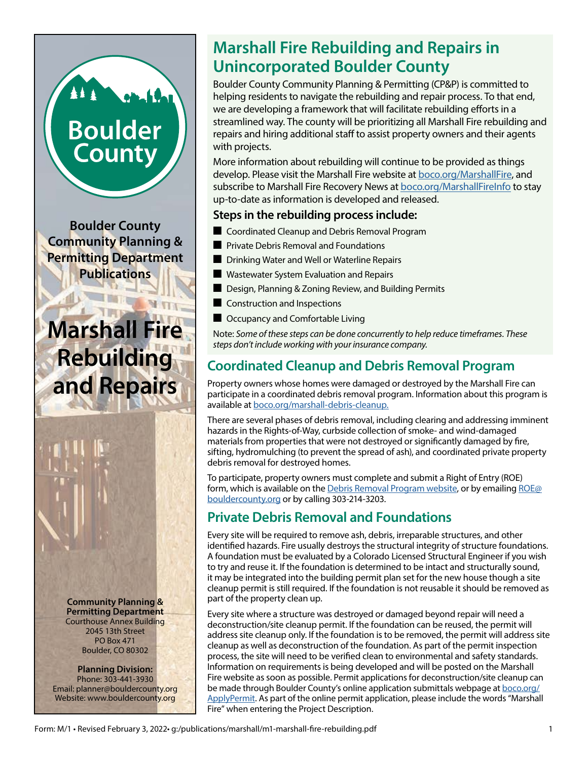## **Boulder County**

**Boulder County Community Planning & Permitting Department Publications**

# **Rebuilding and Repairs**

**Community Planning & Permitting Department** Courthouse Annex Building 2045 13th Street PO Box 471 Boulder, CO 80302

#### **Planning Division:** Phone: 303-441-3930 Email: planner@bouldercounty.org Website: www.bouldercounty.org

## **Marshall Fire Rebuilding and Repairs in Unincorporated Boulder County**

Boulder County Community Planning & Permitting (CP&P) is committed to helping residents to navigate the rebuilding and repair process. To that end, we are developing a framework that will facilitate rebuilding efforts in a streamlined way. The county will be prioritizing all Marshall Fire rebuilding and repairs and hiring additional staff to assist property owners and their agents with projects.

More information about rebuilding will continue to be provided as things develop. Please visit the Marshall Fire website at [boco.org/MarshallFire,](https://boco.org/MarshallFire) and subscribe to Marshall Fire Recovery News at [boco.org/MarshallFireInfo](https://boco.org/MarshallFireInfo) to stay up-to-date as information is developed and released.

#### **Steps in the rebuilding process include:**

- Coordinated Cleanup and Debris Removal Program
- $\blacksquare$  Private Debris Removal and Foundations
- Drinking Water and Well or Waterline Repairs
- **Q Wastewater System Evaluation and Repairs**
- $\blacksquare$  Design, Planning & Zoning Review, and Building Permits
- $\blacksquare$  Construction and Inspections
- Occupancy and Comfortable Living

**Marshall Fire** Note: *Some of these steps can be done concurrently to help reduce timeframes. These* **Marshall Fire** *Some of these steps can be done concurrently to help reduce timeframes. These steps don't include working with your insurance company.*

## **Coordinated Cleanup and Debris Removal Program**

Property owners whose homes were damaged or destroyed by the Marshall Fire can participate in a coordinated debris removal program. Information about this program is available at [boco.org/marshall-debris-cleanup.](https://www.boco.org/marshall-debris-cleanup)

There are several phases of debris removal, including clearing and addressing imminent hazards in the Rights-of-Way, curbside collection of smoke- and wind-damaged materials from properties that were not destroyed or significantly damaged by fire, sifting, hydromulching (to prevent the spread of ash), and coordinated private property debris removal for destroyed homes.

To participate, property owners must complete and submit a Right of Entry (ROE) form, which is available on the [Debris Removal Program website,](https://www.boco.org/marshall-debris-cleanup) or by emailing [ROE@](mailto:ROE@bouldercounty.org) [bouldercounty.org](mailto:ROE@bouldercounty.org) or by calling 303-214-3203.

## **Private Debris Removal and Foundations**

Every site will be required to remove ash, debris, irreparable structures, and other identified hazards. Fire usually destroys the structural integrity of structure foundations. A foundation must be evaluated by a Colorado Licensed Structural Engineer if you wish to try and reuse it. If the foundation is determined to be intact and structurally sound, it may be integrated into the building permit plan set for the new house though a site cleanup permit is still required. If the foundation is not reusable it should be removed as part of the property clean up.

Every site where a structure was destroyed or damaged beyond repair will need a deconstruction/site cleanup permit. If the foundation can be reused, the permit will address site cleanup only. If the foundation is to be removed, the permit will address site cleanup as well as deconstruction of the foundation. As part of the permit inspection process, the site will need to be verified clean to environmental and safety standards. Information on requirements is being developed and will be posted on the Marshall Fire website as soon as possible. Permit applications for deconstruction/site cleanup can be made through Boulder County's online application submittals webpage at [boco.org/](https://boco.org/ApplyPermit) [ApplyPermit.](https://boco.org/ApplyPermit) As part of the online permit application, please include the words "Marshall Fire" when entering the Project Description.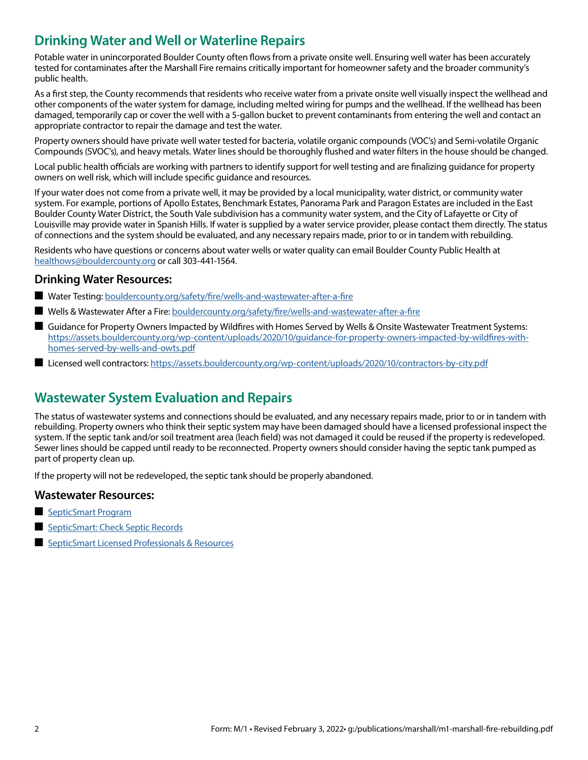### **Drinking Water and Well or Waterline Repairs**

Potable water in unincorporated Boulder County often flows from a private onsite well. Ensuring well water has been accurately tested for contaminates after the Marshall Fire remains critically important for homeowner safety and the broader community's public health.

As a first step, the County recommends that residents who receive water from a private onsite well visually inspect the wellhead and other components of the water system for damage, including melted wiring for pumps and the wellhead. If the wellhead has been damaged, temporarily cap or cover the well with a 5-gallon bucket to prevent contaminants from entering the well and contact an appropriate contractor to repair the damage and test the water.

Property owners should have private well water tested for bacteria, volatile organic compounds (VOC's) and Semi-volatile Organic Compounds (SVOC's), and heavy metals. Water lines should be thoroughly flushed and water filters in the house should be changed.

Local public health officials are working with partners to identify support for well testing and are finalizing guidance for property owners on well risk, which will include specific guidance and resources.

If your water does not come from a private well, it may be provided by a local municipality, water district, or community water system. For example, portions of Apollo Estates, Benchmark Estates, Panorama Park and Paragon Estates are included in the East Boulder County Water District, the South Vale subdivision has a community water system, and the City of Lafayette or City of Louisville may provide water in Spanish Hills. If water is supplied by a water service provider, please contact them directly. The status of connections and the system should be evaluated, and any necessary repairs made, prior to or in tandem with rebuilding.

Residents who have questions or concerns about water wells or water quality can email Boulder County Public Health at [healthows@bouldercounty.org](mailto:healthows@bouldercounty.org) or call 303-441-1564.

#### **Drinking Water Resources:**

- Water Testing: [bouldercounty.org/safety/fire/wells-and-wastewater-after-a-fire](https://www.bouldercounty.org/environment/water/water-testing/ )
- Q Wells & Wastewater After a Fire: [bouldercounty.org/safety/fire/wells-and-wastewater-after-a-fire](https://www.bouldercounty.org/safety/fire/wells-and-wastewater-after-a-fire/  )
- Guidance for Property Owners Impacted by Wildfires with Homes Served by Wells & Onsite Wastewater Treatment Systems: [https://assets.bouldercounty.org/wp-content/uploads/2020/10/guidance-for-property-owners-impacted-by-wildfires-with](https://assets.bouldercounty.org/wp-content/uploads/2020/10/guidance-for-property-owners-impacted-by)[homes-served-by-wells-and-owts.pdf](https://assets.bouldercounty.org/wp-content/uploads/2020/10/guidance-for-property-owners-impacted-by)
- Licensed well contractors: <https://assets.bouldercounty.org/wp-content/uploads/2020/10/contractors-by-city.pdf>

#### **Wastewater System Evaluation and Repairs**

The status of wastewater systems and connections should be evaluated, and any necessary repairs made, prior to or in tandem with rebuilding. Property owners who think their septic system may have been damaged should have a licensed professional inspect the system. If the septic tank and/or soil treatment area (leach field) was not damaged it could be reused if the property is redeveloped. Sewer lines should be capped until ready to be reconnected. Property owners should consider having the septic tank pumped as part of property clean up.

If the property will not be redeveloped, the septic tank should be properly abandoned.

#### **Wastewater Resources:**

- **[SepticSmart Program](https://www.bouldercounty.org/environment/water/septicsmart/)**
- [SepticSmart: Check Septic Records](https://www.bouldercounty.org/environment/water/septicsmart/check-septic-records/)
- **[SepticSmart Licensed Professionals & Resources](https://www.bouldercounty.org/environment/water/septicsmart/licensed-professionals/)**